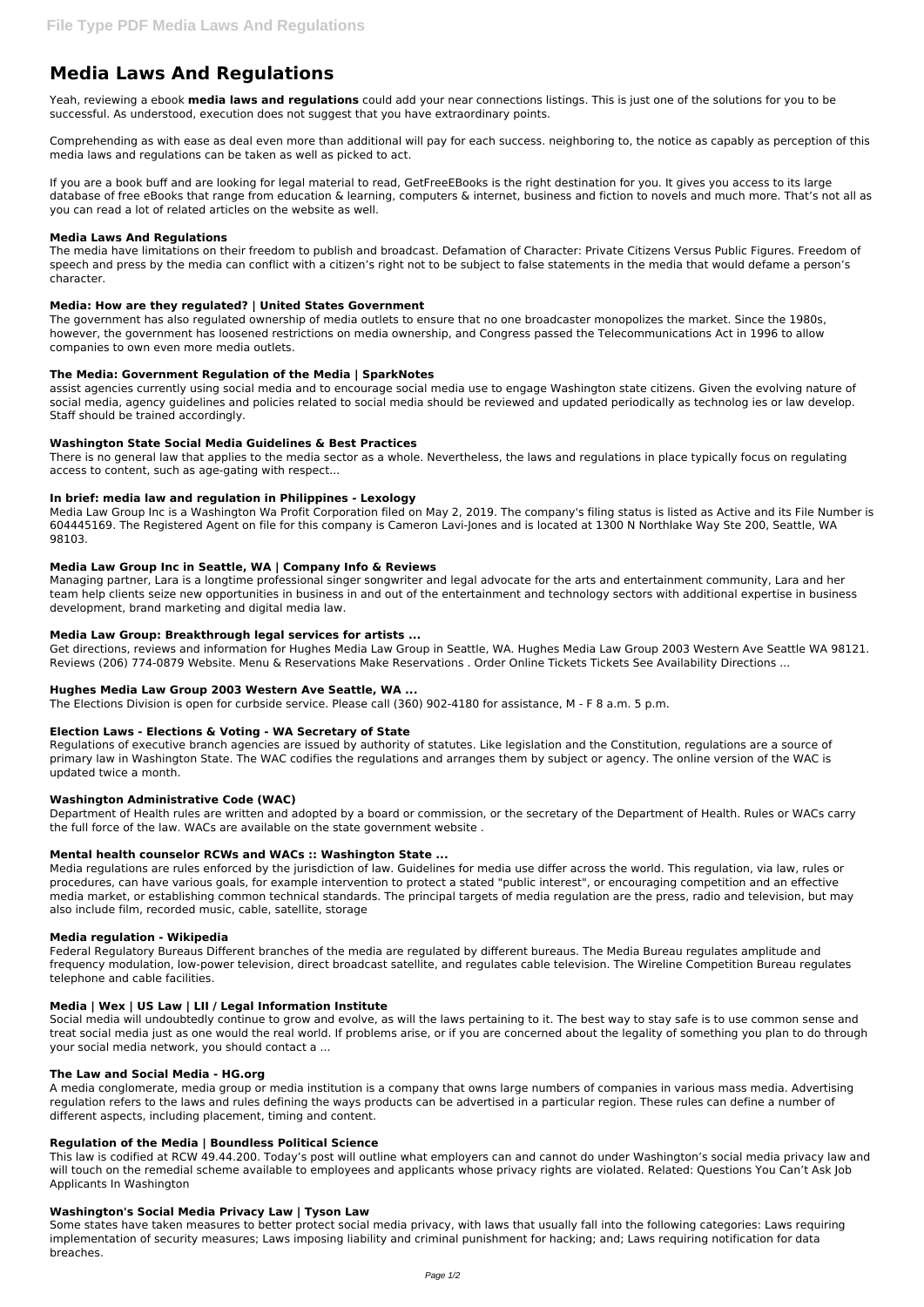# **Media Laws And Regulations**

Yeah, reviewing a ebook **media laws and regulations** could add your near connections listings. This is just one of the solutions for you to be successful. As understood, execution does not suggest that you have extraordinary points.

Comprehending as with ease as deal even more than additional will pay for each success. neighboring to, the notice as capably as perception of this media laws and regulations can be taken as well as picked to act.

If you are a book buff and are looking for legal material to read, GetFreeEBooks is the right destination for you. It gives you access to its large database of free eBooks that range from education & learning, computers & internet, business and fiction to novels and much more. That's not all as you can read a lot of related articles on the website as well.

## **Media Laws And Regulations**

The media have limitations on their freedom to publish and broadcast. Defamation of Character: Private Citizens Versus Public Figures. Freedom of speech and press by the media can conflict with a citizen's right not to be subject to false statements in the media that would defame a person's character.

## **Media: How are they regulated? | United States Government**

The government has also regulated ownership of media outlets to ensure that no one broadcaster monopolizes the market. Since the 1980s, however, the government has loosened restrictions on media ownership, and Congress passed the Telecommunications Act in 1996 to allow companies to own even more media outlets.

## **The Media: Government Regulation of the Media | SparkNotes**

assist agencies currently using social media and to encourage social media use to engage Washington state citizens. Given the evolving nature of social media, agency guidelines and policies related to social media should be reviewed and updated periodically as technolog ies or law develop. Staff should be trained accordingly.

## **Washington State Social Media Guidelines & Best Practices**

There is no general law that applies to the media sector as a whole. Nevertheless, the laws and regulations in place typically focus on regulating access to content, such as age-gating with respect...

## **In brief: media law and regulation in Philippines - Lexology**

Media Law Group Inc is a Washington Wa Profit Corporation filed on May 2, 2019. The company's filing status is listed as Active and its File Number is 604445169. The Registered Agent on file for this company is Cameron Lavi-Jones and is located at 1300 N Northlake Way Ste 200, Seattle, WA 98103.

## **Media Law Group Inc in Seattle, WA | Company Info & Reviews**

Managing partner, Lara is a longtime professional singer songwriter and legal advocate for the arts and entertainment community, Lara and her team help clients seize new opportunities in business in and out of the entertainment and technology sectors with additional expertise in business development, brand marketing and digital media law.

## **Media Law Group: Breakthrough legal services for artists ...**

Get directions, reviews and information for Hughes Media Law Group in Seattle, WA. Hughes Media Law Group 2003 Western Ave Seattle WA 98121. Reviews (206) 774-0879 Website. Menu & Reservations Make Reservations . Order Online Tickets Tickets See Availability Directions ...

## **Hughes Media Law Group 2003 Western Ave Seattle, WA ...**

The Elections Division is open for curbside service. Please call (360) 902-4180 for assistance, M - F 8 a.m. 5 p.m.

# **Election Laws - Elections & Voting - WA Secretary of State**

Regulations of executive branch agencies are issued by authority of statutes. Like legislation and the Constitution, regulations are a source of primary law in Washington State. The WAC codifies the regulations and arranges them by subject or agency. The online version of the WAC is updated twice a month.

## **Washington Administrative Code (WAC)**

Department of Health rules are written and adopted by a board or commission, or the secretary of the Department of Health. Rules or WACs carry the full force of the law. WACs are available on the state government website .

## **Mental health counselor RCWs and WACs :: Washington State ...**

Media regulations are rules enforced by the jurisdiction of law. Guidelines for media use differ across the world. This regulation, via law, rules or procedures, can have various goals, for example intervention to protect a stated "public interest", or encouraging competition and an effective media market, or establishing common technical standards. The principal targets of media regulation are the press, radio and television, but may also include film, recorded music, cable, satellite, storage

## **Media regulation - Wikipedia**

Federal Regulatory Bureaus Different branches of the media are regulated by different bureaus. The Media Bureau regulates amplitude and frequency modulation, low-power television, direct broadcast satellite, and regulates cable television. The Wireline Competition Bureau regulates telephone and cable facilities.

#### **Media | Wex | US Law | LII / Legal Information Institute**

Social media will undoubtedly continue to grow and evolve, as will the laws pertaining to it. The best way to stay safe is to use common sense and treat social media just as one would the real world. If problems arise, or if you are concerned about the legality of something you plan to do through your social media network, you should contact a ...

#### **The Law and Social Media - HG.org**

A media conglomerate, media group or media institution is a company that owns large numbers of companies in various mass media. Advertising regulation refers to the laws and rules defining the ways products can be advertised in a particular region. These rules can define a number of different aspects, including placement, timing and content.

#### **Regulation of the Media | Boundless Political Science**

This law is codified at RCW 49.44.200. Today's post will outline what employers can and cannot do under Washington's social media privacy law and will touch on the remedial scheme available to employees and applicants whose privacy rights are violated. Related: Questions You Can't Ask Job Applicants In Washington

#### **Washington's Social Media Privacy Law | Tyson Law**

Some states have taken measures to better protect social media privacy, with laws that usually fall into the following categories: Laws requiring implementation of security measures; Laws imposing liability and criminal punishment for hacking; and; Laws requiring notification for data breaches.